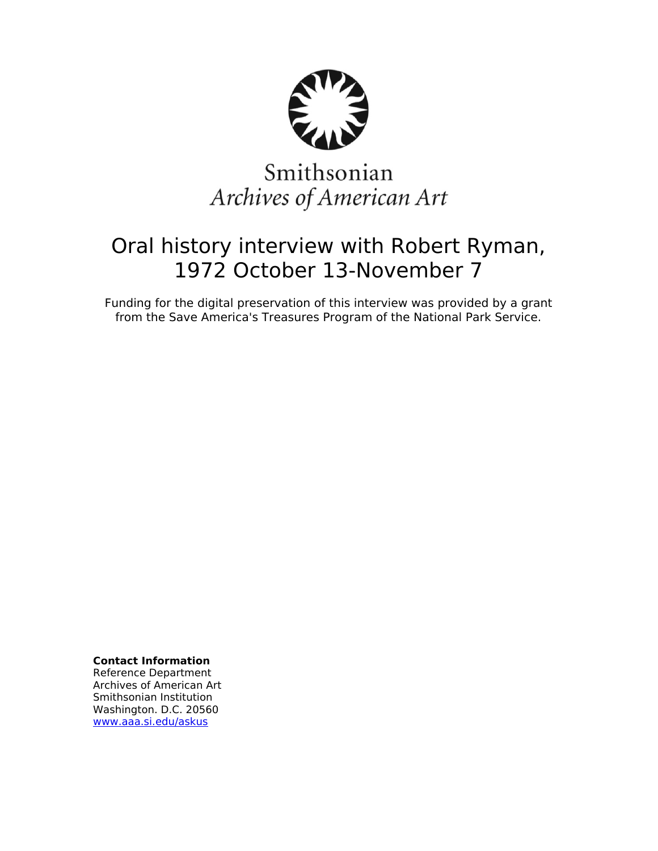

# Smithsonian Archives of American Art

## Oral history interview with Robert Ryman, 1972 October 13-November 7

Funding for the digital preservation of this interview was provided by a grant from the Save America's Treasures Program of the National Park Service.

**Contact Information**

Reference Department Archives of American Art Smithsonian Institution Washington. D.C. 20560 [www.aaa.si.edu/askus](http://www.aaa.si.edu/askus)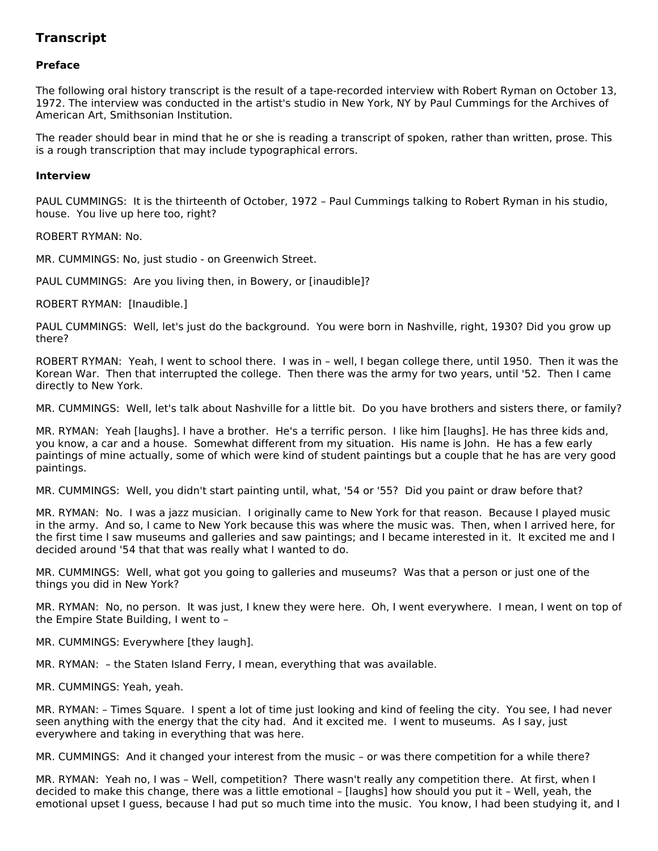### **Transcript**

#### **Preface**

The following oral history transcript is the result of a tape-recorded interview with Robert Ryman on October 13, 1972. The interview was conducted in the artist's studio in New York, NY by Paul Cummings for the Archives of American Art, Smithsonian Institution.

The reader should bear in mind that he or she is reading a transcript of spoken, rather than written, prose. This is a rough transcription that may include typographical errors.

#### **Interview**

PAUL CUMMINGS: It is the thirteenth of October, 1972 – Paul Cummings talking to Robert Ryman in his studio, house. You live up here too, right?

ROBERT RYMAN: No.

MR. CUMMINGS: No, just studio - on Greenwich Street.

PAUL CUMMINGS: Are you living then, in Bowery, or [inaudible]?

ROBERT RYMAN: [Inaudible.]

PAUL CUMMINGS: Well, let's just do the background. You were born in Nashville, right, 1930? Did you grow up there?

ROBERT RYMAN: Yeah, I went to school there. I was in – well, I began college there, until 1950. Then it was the Korean War. Then that interrupted the college. Then there was the army for two years, until '52. Then I came directly to New York.

MR. CUMMINGS: Well, let's talk about Nashville for a little bit. Do you have brothers and sisters there, or family?

MR. RYMAN: Yeah [laughs]. I have a brother. He's a terrific person. I like him [laughs]. He has three kids and, you know, a car and a house. Somewhat different from my situation. His name is John. He has a few early paintings of mine actually, some of which were kind of student paintings but a couple that he has are very good paintings.

MR. CUMMINGS: Well, you didn't start painting until, what, '54 or '55? Did you paint or draw before that?

MR. RYMAN: No. I was a jazz musician. I originally came to New York for that reason. Because I played music in the army. And so, I came to New York because this was where the music was. Then, when I arrived here, for the first time I saw museums and galleries and saw paintings; and I became interested in it. It excited me and I decided around '54 that that was really what I wanted to do.

MR. CUMMINGS: Well, what got you going to galleries and museums? Was that a person or just one of the things you did in New York?

MR. RYMAN: No, no person. It was just, I knew they were here. Oh, I went everywhere. I mean, I went on top of the Empire State Building, I went to –

MR. CUMMINGS: Everywhere [they laugh].

MR. RYMAN: – the Staten Island Ferry, I mean, everything that was available.

MR. CUMMINGS: Yeah, yeah.

MR. RYMAN: – Times Square. I spent a lot of time just looking and kind of feeling the city. You see, I had never seen anything with the energy that the city had. And it excited me. I went to museums. As I say, just everywhere and taking in everything that was here.

MR. CUMMINGS: And it changed your interest from the music – or was there competition for a while there?

MR. RYMAN: Yeah no, I was – Well, competition? There wasn't really any competition there. At first, when I decided to make this change, there was a little emotional – [laughs] how should you put it – Well, yeah, the emotional upset I guess, because I had put so much time into the music. You know, I had been studying it, and I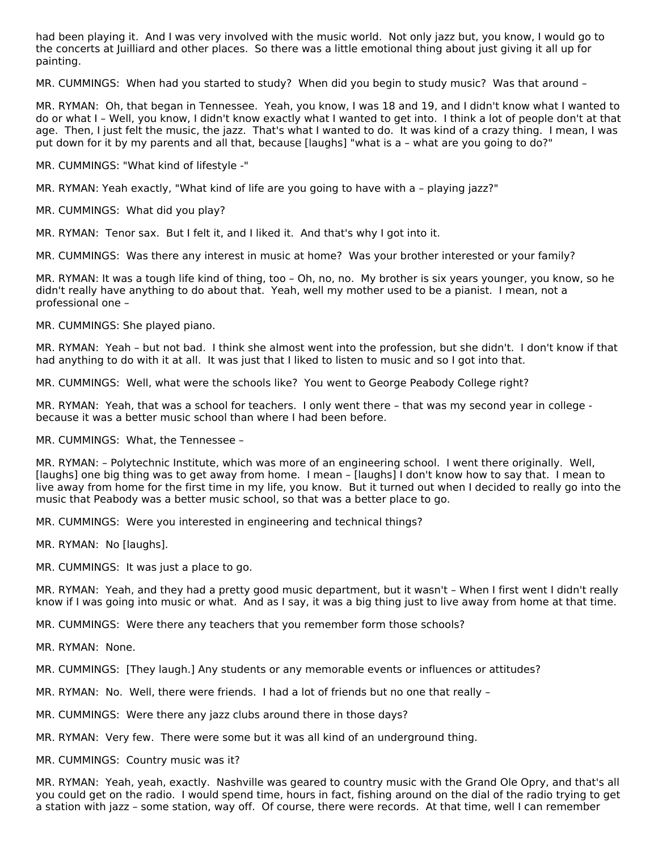had been playing it. And I was very involved with the music world. Not only jazz but, you know, I would go to the concerts at Juilliard and other places. So there was a little emotional thing about just giving it all up for painting.

MR. CUMMINGS: When had you started to study? When did you begin to study music? Was that around –

MR. RYMAN: Oh, that began in Tennessee. Yeah, you know, I was 18 and 19, and I didn't know what I wanted to do or what I – Well, you know, I didn't know exactly what I wanted to get into. I think a lot of people don't at that age. Then, I just felt the music, the jazz. That's what I wanted to do. It was kind of a crazy thing. I mean, I was put down for it by my parents and all that, because [laughs] "what is a – what are you going to do?"

MR. CUMMINGS: "What kind of lifestyle -"

MR. RYMAN: Yeah exactly, "What kind of life are you going to have with a – playing jazz?"

MR. CUMMINGS: What did you play?

MR. RYMAN: Tenor sax. But I felt it, and I liked it. And that's why I got into it.

MR. CUMMINGS: Was there any interest in music at home? Was your brother interested or your family?

MR. RYMAN: It was a tough life kind of thing, too – Oh, no, no. My brother is six years younger, you know, so he didn't really have anything to do about that. Yeah, well my mother used to be a pianist. I mean, not a professional one –

MR. CUMMINGS: She played piano.

MR. RYMAN: Yeah – but not bad. I think she almost went into the profession, but she didn't. I don't know if that had anything to do with it at all. It was just that I liked to listen to music and so I got into that.

MR. CUMMINGS: Well, what were the schools like? You went to George Peabody College right?

MR. RYMAN: Yeah, that was a school for teachers. I only went there – that was my second year in college because it was a better music school than where I had been before.

MR. CUMMINGS: What, the Tennessee –

MR. RYMAN: – Polytechnic Institute, which was more of an engineering school. I went there originally. Well, [laughs] one big thing was to get away from home. I mean – [laughs] I don't know how to say that. I mean to live away from home for the first time in my life, you know. But it turned out when I decided to really go into the music that Peabody was a better music school, so that was a better place to go.

MR. CUMMINGS: Were you interested in engineering and technical things?

MR. RYMAN: No [laughs].

MR. CUMMINGS: It was just a place to go.

MR. RYMAN: Yeah, and they had a pretty good music department, but it wasn't – When I first went I didn't really know if I was going into music or what. And as I say, it was a big thing just to live away from home at that time.

MR. CUMMINGS: Were there any teachers that you remember form those schools?

MR. RYMAN: None.

MR. CUMMINGS: [They laugh.] Any students or any memorable events or influences or attitudes?

MR. RYMAN: No. Well, there were friends. I had a lot of friends but no one that really –

MR. CUMMINGS: Were there any jazz clubs around there in those days?

MR. RYMAN: Very few. There were some but it was all kind of an underground thing.

MR. CUMMINGS: Country music was it?

MR. RYMAN: Yeah, yeah, exactly. Nashville was geared to country music with the Grand Ole Opry, and that's all you could get on the radio. I would spend time, hours in fact, fishing around on the dial of the radio trying to get a station with jazz – some station, way off. Of course, there were records. At that time, well I can remember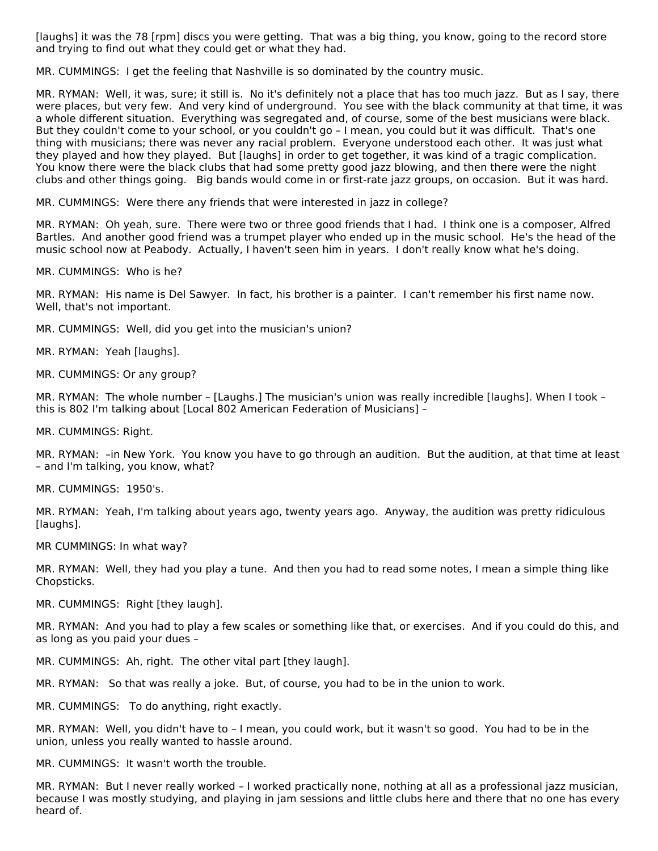[laughs] it was the 78 [rpm] discs you were getting. That was a big thing, you know, going to the record store and trying to find out what they could get or what they had.

MR. CUMMINGS: I get the feeling that Nashville is so dominated by the country music.

MR. RYMAN: Well, it was, sure; it still is. No it's definitely not a place that has too much jazz. But as I say, there were places, but very few. And very kind of underground. You see with the black community at that time, it was a whole different situation. Everything was segregated and, of course, some of the best musicians were black. But they couldn't come to your school, or you couldn't go – I mean, you could but it was difficult. That's one thing with musicians; there was never any racial problem. Everyone understood each other. It was just what they played and how they played. But [laughs] in order to get together, it was kind of a tragic complication. You know there were the black clubs that had some pretty good jazz blowing, and then there were the night clubs and other things going. Big bands would come in or first-rate jazz groups, on occasion. But it was hard.

MR. CUMMINGS: Were there any friends that were interested in jazz in college?

MR. RYMAN: Oh yeah, sure. There were two or three good friends that I had. I think one is a composer, Alfred Bartles. And another good friend was a trumpet player who ended up in the music school. He's the head of the music school now at Peabody. Actually, I haven't seen him in years. I don't really know what he's doing.

MR. CUMMINGS: Who is he?

MR. RYMAN: His name is Del Sawyer. In fact, his brother is a painter. I can't remember his first name now. Well, that's not important.

MR. CUMMINGS: Well, did you get into the musician's union?

MR. RYMAN: Yeah [laughs].

MR. CUMMINGS: Or any group?

MR. RYMAN: The whole number – [Laughs.] The musician's union was really incredible [laughs]. When I took – this is 802 I'm talking about [Local 802 American Federation of Musicians] –

MR. CUMMINGS: Right.

MR. RYMAN: –in New York. You know you have to go through an audition. But the audition, at that time at least – and I'm talking, you know, what?

MR. CUMMINGS: 1950's.

MR. RYMAN: Yeah, I'm talking about years ago, twenty years ago. Anyway, the audition was pretty ridiculous [laughs].

MR CUMMINGS: In what way?

MR. RYMAN: Well, they had you play a tune. And then you had to read some notes, I mean a simple thing like Chopsticks.

MR. CUMMINGS: Right [they laugh].

MR. RYMAN: And you had to play a few scales or something like that, or exercises. And if you could do this, and as long as you paid your dues –

MR. CUMMINGS: Ah, right. The other vital part [they laugh].

MR. RYMAN: So that was really a joke. But, of course, you had to be in the union to work.

MR. CUMMINGS: To do anything, right exactly.

MR. RYMAN: Well, you didn't have to – I mean, you could work, but it wasn't so good. You had to be in the union, unless you really wanted to hassle around.

MR. CUMMINGS: It wasn't worth the trouble.

MR. RYMAN: But I never really worked – I worked practically none, nothing at all as a professional jazz musician, because I was mostly studying, and playing in jam sessions and little clubs here and there that no one has every heard of.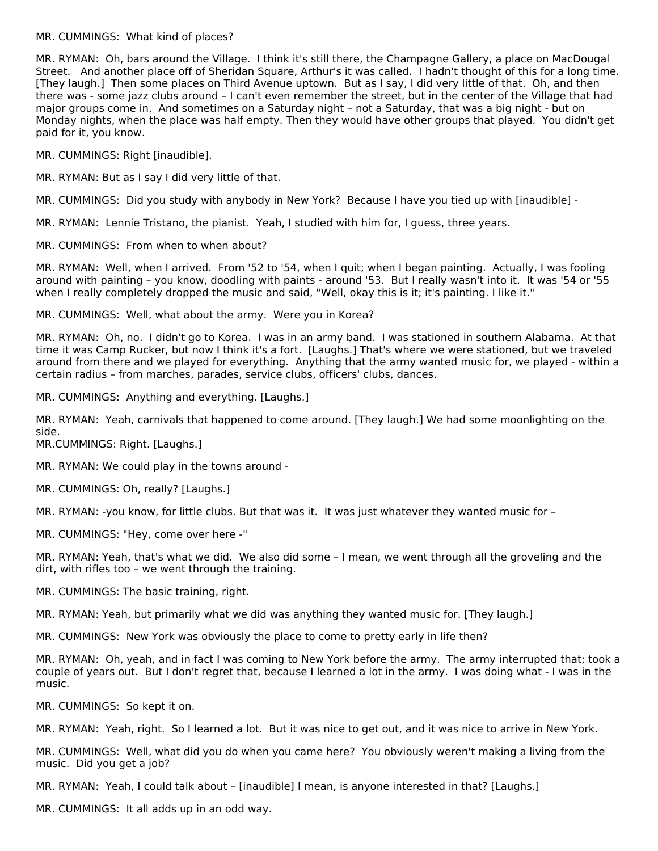#### MR. CUMMINGS: What kind of places?

MR. RYMAN: Oh, bars around the Village. I think it's still there, the Champagne Gallery, a place on MacDougal Street. And another place off of Sheridan Square, Arthur's it was called. I hadn't thought of this for a long time. [They laugh.] Then some places on Third Avenue uptown. But as I say, I did very little of that. Oh, and then there was - some jazz clubs around – I can't even remember the street, but in the center of the Village that had major groups come in. And sometimes on a Saturday night – not a Saturday, that was a big night - but on Monday nights, when the place was half empty. Then they would have other groups that played. You didn't get paid for it, you know.

MR. CUMMINGS: Right [inaudible].

MR. RYMAN: But as I say I did very little of that.

MR. CUMMINGS: Did you study with anybody in New York? Because I have you tied up with [inaudible] -

MR. RYMAN: Lennie Tristano, the pianist. Yeah, I studied with him for, I guess, three years.

MR. CUMMINGS: From when to when about?

MR. RYMAN: Well, when I arrived. From '52 to '54, when I quit; when I began painting. Actually, I was fooling around with painting – you know, doodling with paints - around '53. But I really wasn't into it. It was '54 or '55 when I really completely dropped the music and said, "Well, okay this is it; it's painting. I like it."

MR. CUMMINGS: Well, what about the army. Were you in Korea?

MR. RYMAN: Oh, no. I didn't go to Korea. I was in an army band. I was stationed in southern Alabama. At that time it was Camp Rucker, but now I think it's a fort. [Laughs.] That's where we were stationed, but we traveled around from there and we played for everything. Anything that the army wanted music for, we played - within a certain radius – from marches, parades, service clubs, officers' clubs, dances.

MR. CUMMINGS: Anything and everything. [Laughs.]

MR. RYMAN: Yeah, carnivals that happened to come around. [They laugh.] We had some moonlighting on the side.

MR.CUMMINGS: Right. [Laughs.]

MR. RYMAN: We could play in the towns around -

MR. CUMMINGS: Oh, really? [Laughs.]

MR. RYMAN: -you know, for little clubs. But that was it. It was just whatever they wanted music for –

MR. CUMMINGS: "Hey, come over here -"

MR. RYMAN: Yeah, that's what we did. We also did some – I mean, we went through all the groveling and the dirt, with rifles too – we went through the training.

MR. CUMMINGS: The basic training, right.

MR. RYMAN: Yeah, but primarily what we did was anything they wanted music for. [They laugh.]

MR. CUMMINGS: New York was obviously the place to come to pretty early in life then?

MR. RYMAN: Oh, yeah, and in fact I was coming to New York before the army. The army interrupted that; took a couple of years out. But I don't regret that, because I learned a lot in the army. I was doing what - I was in the music.

MR. CUMMINGS: So kept it on.

MR. RYMAN: Yeah, right. So I learned a lot. But it was nice to get out, and it was nice to arrive in New York.

MR. CUMMINGS: Well, what did you do when you came here? You obviously weren't making a living from the music. Did you get a job?

MR. RYMAN: Yeah, I could talk about – [inaudible] I mean, is anyone interested in that? [Laughs.]

MR. CUMMINGS: It all adds up in an odd way.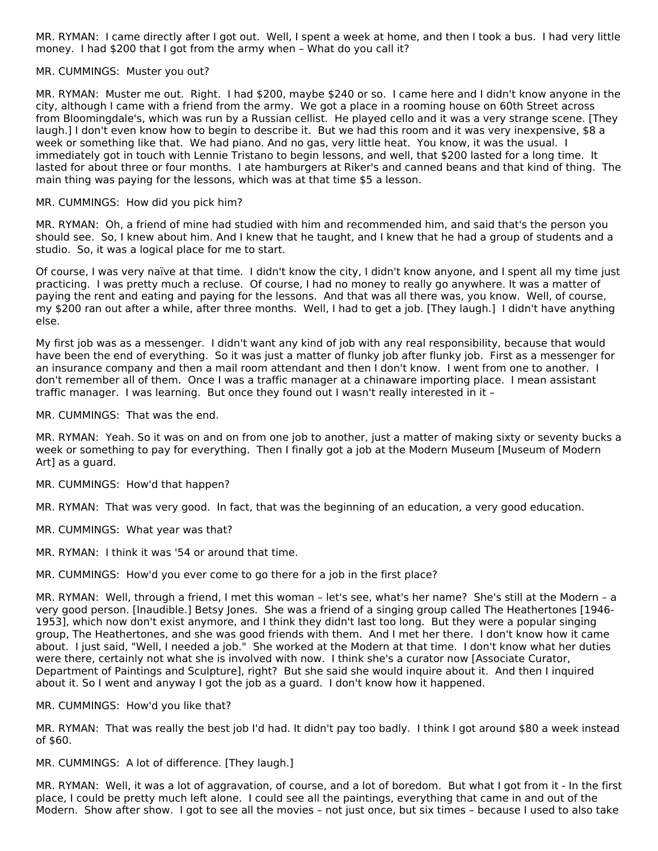MR. RYMAN: I came directly after I got out. Well, I spent a week at home, and then I took a bus. I had very little money. I had \$200 that I got from the army when – What do you call it?

#### MR. CUMMINGS: Muster you out?

MR. RYMAN: Muster me out. Right. I had \$200, maybe \$240 or so. I came here and I didn't know anyone in the city, although I came with a friend from the army. We got a place in a rooming house on 60th Street across from Bloomingdale's, which was run by a Russian cellist. He played cello and it was a very strange scene. [They laugh.] I don't even know how to begin to describe it. But we had this room and it was very inexpensive, \$8 a week or something like that. We had piano. And no gas, very little heat. You know, it was the usual. I immediately got in touch with Lennie Tristano to begin lessons, and well, that \$200 lasted for a long time. It lasted for about three or four months. I ate hamburgers at Riker's and canned beans and that kind of thing. The main thing was paying for the lessons, which was at that time \$5 a lesson.

#### MR. CUMMINGS: How did you pick him?

MR. RYMAN: Oh, a friend of mine had studied with him and recommended him, and said that's the person you should see. So, I knew about him. And I knew that he taught, and I knew that he had a group of students and a studio. So, it was a logical place for me to start.

Of course, I was very naïve at that time. I didn't know the city, I didn't know anyone, and I spent all my time just practicing. I was pretty much a recluse. Of course, I had no money to really go anywhere. It was a matter of paying the rent and eating and paying for the lessons. And that was all there was, you know. Well, of course, my \$200 ran out after a while, after three months. Well, I had to get a job. [They laugh.] I didn't have anything else.

My first job was as a messenger. I didn't want any kind of job with any real responsibility, because that would have been the end of everything. So it was just a matter of flunky job after flunky job. First as a messenger for an insurance company and then a mail room attendant and then I don't know. I went from one to another. I don't remember all of them. Once I was a traffic manager at a chinaware importing place. I mean assistant traffic manager. I was learning. But once they found out I wasn't really interested in it –

MR. CUMMINGS: That was the end.

MR. RYMAN: Yeah. So it was on and on from one job to another, just a matter of making sixty or seventy bucks a week or something to pay for everything. Then I finally got a job at the Modern Museum [Museum of Modern Art] as a guard.

MR. CUMMINGS: How'd that happen?

MR. RYMAN: That was very good. In fact, that was the beginning of an education, a very good education.

MR. CUMMINGS: What year was that?

MR. RYMAN: I think it was '54 or around that time.

MR. CUMMINGS: How'd you ever come to go there for a job in the first place?

MR. RYMAN: Well, through a friend, I met this woman – let's see, what's her name? She's still at the Modern – a very good person. [Inaudible.] Betsy Jones. She was a friend of a singing group called The Heathertones [1946- 1953], which now don't exist anymore, and I think they didn't last too long. But they were a popular singing group, The Heathertones, and she was good friends with them. And I met her there. I don't know how it came about. I just said, "Well, I needed a job." She worked at the Modern at that time. I don't know what her duties were there, certainly not what she is involved with now. I think she's a curator now [Associate Curator, Department of Paintings and Sculpture], right? But she said she would inquire about it. And then I inquired about it. So I went and anyway I got the job as a guard. I don't know how it happened.

MR. CUMMINGS: How'd you like that?

MR. RYMAN: That was really the best job I'd had. It didn't pay too badly. I think I got around \$80 a week instead of \$60.

MR. CUMMINGS: A lot of difference. [They laugh.]

MR. RYMAN: Well, it was a lot of aggravation, of course, and a lot of boredom. But what I got from it - In the first place, I could be pretty much left alone. I could see all the paintings, everything that came in and out of the Modern. Show after show. I got to see all the movies – not just once, but six times – because I used to also take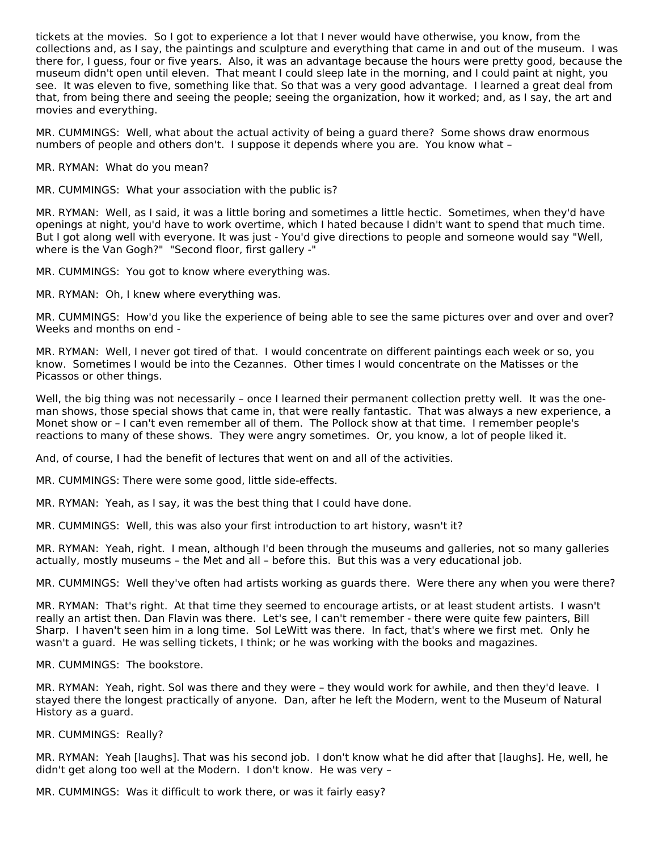tickets at the movies. So I got to experience a lot that I never would have otherwise, you know, from the collections and, as I say, the paintings and sculpture and everything that came in and out of the museum. I was there for, I guess, four or five years. Also, it was an advantage because the hours were pretty good, because the museum didn't open until eleven. That meant I could sleep late in the morning, and I could paint at night, you see. It was eleven to five, something like that. So that was a very good advantage. I learned a great deal from that, from being there and seeing the people; seeing the organization, how it worked; and, as I say, the art and movies and everything.

MR. CUMMINGS: Well, what about the actual activity of being a guard there? Some shows draw enormous numbers of people and others don't. I suppose it depends where you are. You know what –

MR. RYMAN: What do you mean?

MR. CUMMINGS: What your association with the public is?

MR. RYMAN: Well, as I said, it was a little boring and sometimes a little hectic. Sometimes, when they'd have openings at night, you'd have to work overtime, which I hated because I didn't want to spend that much time. But I got along well with everyone. It was just - You'd give directions to people and someone would say "Well, where is the Van Gogh?" "Second floor, first gallery -"

MR. CUMMINGS: You got to know where everything was.

MR. RYMAN: Oh, I knew where everything was.

MR. CUMMINGS: How'd you like the experience of being able to see the same pictures over and over and over? Weeks and months on end -

MR. RYMAN: Well, I never got tired of that. I would concentrate on different paintings each week or so, you know. Sometimes I would be into the Cezannes. Other times I would concentrate on the Matisses or the Picassos or other things.

Well, the big thing was not necessarily – once I learned their permanent collection pretty well. It was the oneman shows, those special shows that came in, that were really fantastic. That was always a new experience, a Monet show or – I can't even remember all of them. The Pollock show at that time. I remember people's reactions to many of these shows. They were angry sometimes. Or, you know, a lot of people liked it.

And, of course, I had the benefit of lectures that went on and all of the activities.

MR. CUMMINGS: There were some good, little side-effects.

MR. RYMAN: Yeah, as I say, it was the best thing that I could have done.

MR. CUMMINGS: Well, this was also your first introduction to art history, wasn't it?

MR. RYMAN: Yeah, right. I mean, although I'd been through the museums and galleries, not so many galleries actually, mostly museums – the Met and all – before this. But this was a very educational job.

MR. CUMMINGS: Well they've often had artists working as guards there. Were there any when you were there?

MR. RYMAN: That's right. At that time they seemed to encourage artists, or at least student artists. I wasn't really an artist then. Dan Flavin was there. Let's see, I can't remember - there were quite few painters, Bill Sharp. I haven't seen him in a long time. Sol LeWitt was there. In fact, that's where we first met. Only he wasn't a guard. He was selling tickets, I think; or he was working with the books and magazines.

MR. CUMMINGS: The bookstore.

MR. RYMAN: Yeah, right. Sol was there and they were – they would work for awhile, and then they'd leave. I stayed there the longest practically of anyone. Dan, after he left the Modern, went to the Museum of Natural History as a guard.

MR. CUMMINGS: Really?

MR. RYMAN: Yeah [laughs]. That was his second job. I don't know what he did after that [laughs]. He, well, he didn't get along too well at the Modern. I don't know. He was very –

MR. CUMMINGS: Was it difficult to work there, or was it fairly easy?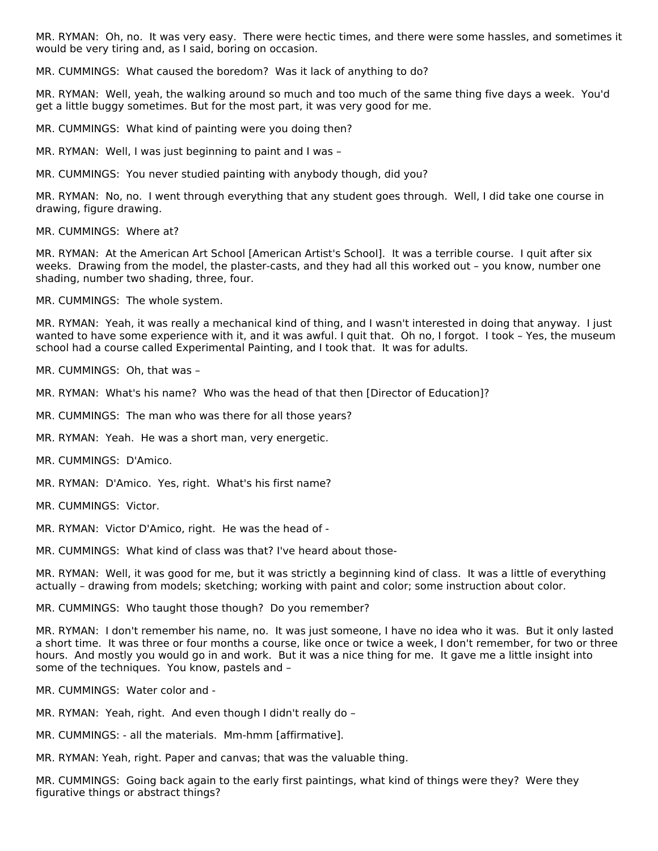MR. RYMAN: Oh, no. It was very easy. There were hectic times, and there were some hassles, and sometimes it would be very tiring and, as I said, boring on occasion.

MR. CUMMINGS: What caused the boredom? Was it lack of anything to do?

MR. RYMAN: Well, yeah, the walking around so much and too much of the same thing five days a week. You'd get a little buggy sometimes. But for the most part, it was very good for me.

MR. CUMMINGS: What kind of painting were you doing then?

MR. RYMAN: Well, I was just beginning to paint and I was –

MR. CUMMINGS: You never studied painting with anybody though, did you?

MR. RYMAN: No, no. I went through everything that any student goes through. Well, I did take one course in drawing, figure drawing.

MR. CUMMINGS: Where at?

MR. RYMAN: At the American Art School [American Artist's School]. It was a terrible course. I quit after six weeks. Drawing from the model, the plaster-casts, and they had all this worked out – you know, number one shading, number two shading, three, four.

MR. CUMMINGS: The whole system.

MR. RYMAN: Yeah, it was really a mechanical kind of thing, and I wasn't interested in doing that anyway. I just wanted to have some experience with it, and it was awful. I quit that. Oh no, I forgot. I took – Yes, the museum school had a course called Experimental Painting, and I took that. It was for adults.

MR. CUMMINGS: Oh, that was –

MR. RYMAN: What's his name? Who was the head of that then [Director of Education]?

MR. CUMMINGS: The man who was there for all those years?

MR. RYMAN: Yeah. He was a short man, very energetic.

MR. CUMMINGS: D'Amico.

MR. RYMAN: D'Amico. Yes, right. What's his first name?

MR. CUMMINGS: Victor.

MR. RYMAN: Victor D'Amico, right. He was the head of -

MR. CUMMINGS: What kind of class was that? I've heard about those-

MR. RYMAN: Well, it was good for me, but it was strictly a beginning kind of class. It was a little of everything actually – drawing from models; sketching; working with paint and color; some instruction about color.

MR. CUMMINGS: Who taught those though? Do you remember?

MR. RYMAN: I don't remember his name, no. It was just someone, I have no idea who it was. But it only lasted a short time. It was three or four months a course, like once or twice a week, I don't remember, for two or three hours. And mostly you would go in and work. But it was a nice thing for me. It gave me a little insight into some of the techniques. You know, pastels and –

MR. CUMMINGS: Water color and -

MR. RYMAN: Yeah, right. And even though I didn't really do –

MR. CUMMINGS: - all the materials. Mm-hmm [affirmative].

MR. RYMAN: Yeah, right. Paper and canvas; that was the valuable thing.

MR. CUMMINGS: Going back again to the early first paintings, what kind of things were they? Were they figurative things or abstract things?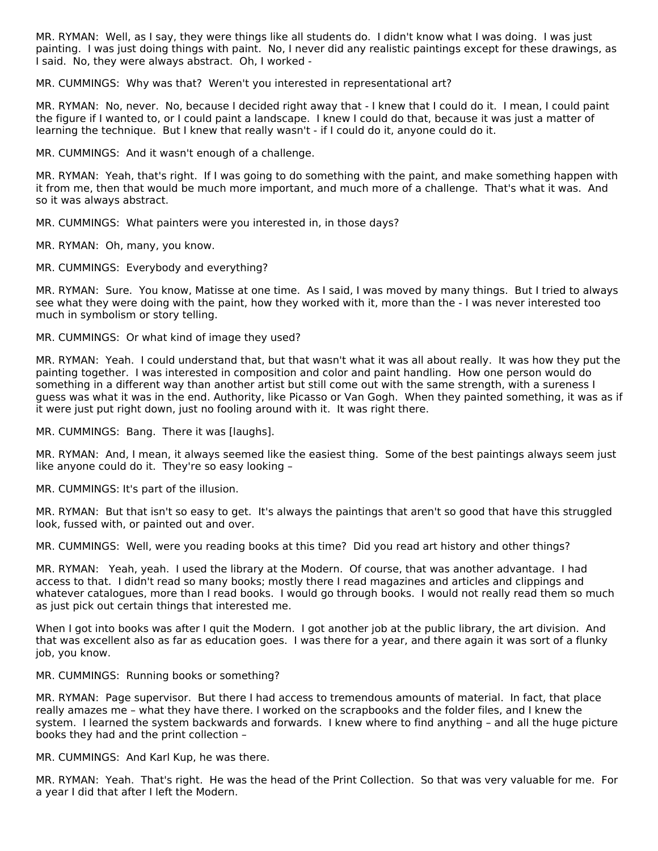MR. RYMAN: Well, as I say, they were things like all students do. I didn't know what I was doing. I was just painting. I was just doing things with paint. No, I never did any realistic paintings except for these drawings, as I said. No, they were always abstract. Oh, I worked -

MR. CUMMINGS: Why was that? Weren't you interested in representational art?

MR. RYMAN: No, never. No, because I decided right away that - I knew that I could do it. I mean, I could paint the figure if I wanted to, or I could paint a landscape. I knew I could do that, because it was just a matter of learning the technique. But I knew that really wasn't - if I could do it, anyone could do it.

MR. CUMMINGS: And it wasn't enough of a challenge.

MR. RYMAN: Yeah, that's right. If I was going to do something with the paint, and make something happen with it from me, then that would be much more important, and much more of a challenge. That's what it was. And so it was always abstract.

MR. CUMMINGS: What painters were you interested in, in those days?

MR. RYMAN: Oh, many, you know.

MR. CUMMINGS: Everybody and everything?

MR. RYMAN: Sure. You know, Matisse at one time. As I said, I was moved by many things. But I tried to always see what they were doing with the paint, how they worked with it, more than the - I was never interested too much in symbolism or story telling.

MR. CUMMINGS: Or what kind of image they used?

MR. RYMAN: Yeah. I could understand that, but that wasn't what it was all about really. It was how they put the painting together. I was interested in composition and color and paint handling. How one person would do something in a different way than another artist but still come out with the same strength, with a sureness I guess was what it was in the end. Authority, like Picasso or Van Gogh. When they painted something, it was as if it were just put right down, just no fooling around with it. It was right there.

MR. CUMMINGS: Bang. There it was [laughs].

MR. RYMAN: And, I mean, it always seemed like the easiest thing. Some of the best paintings always seem just like anyone could do it. They're so easy looking –

MR. CUMMINGS: It's part of the illusion.

MR. RYMAN: But that isn't so easy to get. It's always the paintings that aren't so good that have this struggled look, fussed with, or painted out and over.

MR. CUMMINGS: Well, were you reading books at this time? Did you read art history and other things?

MR. RYMAN: Yeah, yeah. I used the library at the Modern. Of course, that was another advantage. I had access to that. I didn't read so many books; mostly there I read magazines and articles and clippings and whatever catalogues, more than I read books. I would go through books. I would not really read them so much as just pick out certain things that interested me.

When I got into books was after I quit the Modern. I got another job at the public library, the art division. And that was excellent also as far as education goes. I was there for a year, and there again it was sort of a flunky job, you know.

MR. CUMMINGS: Running books or something?

MR. RYMAN: Page supervisor. But there I had access to tremendous amounts of material. In fact, that place really amazes me – what they have there. I worked on the scrapbooks and the folder files, and I knew the system. I learned the system backwards and forwards. I knew where to find anything – and all the huge picture books they had and the print collection –

MR. CUMMINGS: And Karl Kup, he was there.

MR. RYMAN: Yeah. That's right. He was the head of the Print Collection. So that was very valuable for me. For a year I did that after I left the Modern.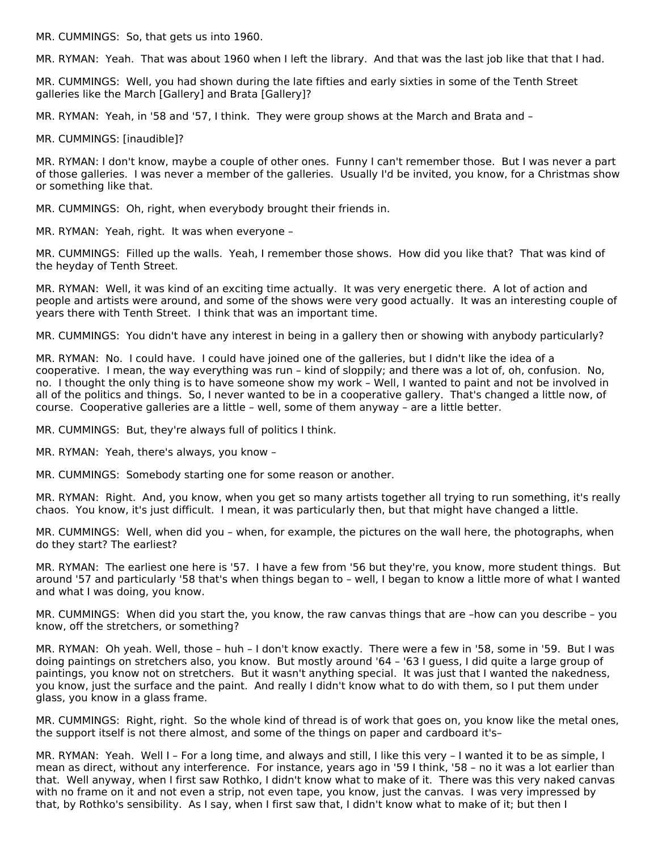MR. CUMMINGS: So, that gets us into 1960.

MR. RYMAN: Yeah. That was about 1960 when I left the library. And that was the last job like that that I had.

MR. CUMMINGS: Well, you had shown during the late fifties and early sixties in some of the Tenth Street galleries like the March [Gallery] and Brata [Gallery]?

MR. RYMAN: Yeah, in '58 and '57, I think. They were group shows at the March and Brata and –

MR. CUMMINGS: [inaudible]?

MR. RYMAN: I don't know, maybe a couple of other ones. Funny I can't remember those. But I was never a part of those galleries. I was never a member of the galleries. Usually I'd be invited, you know, for a Christmas show or something like that.

MR. CUMMINGS: Oh, right, when everybody brought their friends in.

MR. RYMAN: Yeah, right. It was when everyone –

MR. CUMMINGS: Filled up the walls. Yeah, I remember those shows. How did you like that? That was kind of the heyday of Tenth Street.

MR. RYMAN: Well, it was kind of an exciting time actually. It was very energetic there. A lot of action and people and artists were around, and some of the shows were very good actually. It was an interesting couple of years there with Tenth Street. I think that was an important time.

MR. CUMMINGS: You didn't have any interest in being in a gallery then or showing with anybody particularly?

MR. RYMAN: No. I could have. I could have joined one of the galleries, but I didn't like the idea of a cooperative. I mean, the way everything was run – kind of sloppily; and there was a lot of, oh, confusion. No, no. I thought the only thing is to have someone show my work – Well, I wanted to paint and not be involved in all of the politics and things. So, I never wanted to be in a cooperative gallery. That's changed a little now, of course. Cooperative galleries are a little – well, some of them anyway – are a little better.

MR. CUMMINGS: But, they're always full of politics I think.

MR. RYMAN: Yeah, there's always, you know –

MR. CUMMINGS: Somebody starting one for some reason or another.

MR. RYMAN: Right. And, you know, when you get so many artists together all trying to run something, it's really chaos. You know, it's just difficult. I mean, it was particularly then, but that might have changed a little.

MR. CUMMINGS: Well, when did you – when, for example, the pictures on the wall here, the photographs, when do they start? The earliest?

MR. RYMAN: The earliest one here is '57. I have a few from '56 but they're, you know, more student things. But around '57 and particularly '58 that's when things began to – well, I began to know a little more of what I wanted and what I was doing, you know.

MR. CUMMINGS: When did you start the, you know, the raw canvas things that are –how can you describe – you know, off the stretchers, or something?

MR. RYMAN: Oh yeah. Well, those – huh – I don't know exactly. There were a few in '58, some in '59. But I was doing paintings on stretchers also, you know. But mostly around '64 – '63 I guess, I did quite a large group of paintings, you know not on stretchers. But it wasn't anything special. It was just that I wanted the nakedness, you know, just the surface and the paint. And really I didn't know what to do with them, so I put them under glass, you know in a glass frame.

MR. CUMMINGS: Right, right. So the whole kind of thread is of work that goes on, you know like the metal ones, the support itself is not there almost, and some of the things on paper and cardboard it's–

MR. RYMAN: Yeah. Well I – For a long time, and always and still, I like this very – I wanted it to be as simple, I mean as direct, without any interference. For instance, years ago in '59 I think, '58 – no it was a lot earlier than that. Well anyway, when I first saw Rothko, I didn't know what to make of it. There was this very naked canvas with no frame on it and not even a strip, not even tape, you know, just the canvas. I was very impressed by that, by Rothko's sensibility. As I say, when I first saw that, I didn't know what to make of it; but then I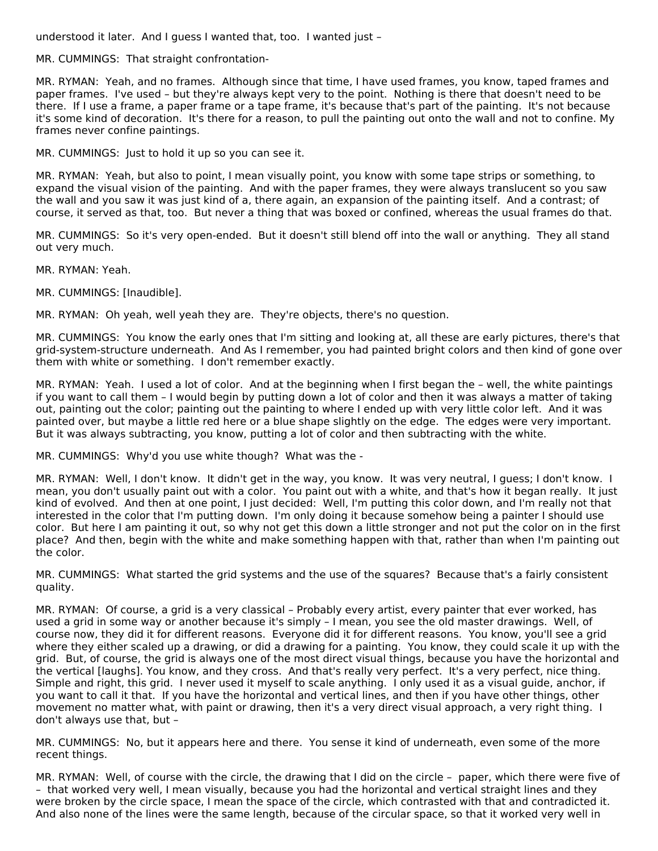understood it later. And I guess I wanted that, too. I wanted just –

MR. CUMMINGS: That straight confrontation-

MR. RYMAN: Yeah, and no frames. Although since that time, I have used frames, you know, taped frames and paper frames. I've used – but they're always kept very to the point. Nothing is there that doesn't need to be there. If I use a frame, a paper frame or a tape frame, it's because that's part of the painting. It's not because it's some kind of decoration. It's there for a reason, to pull the painting out onto the wall and not to confine. My frames never confine paintings.

MR. CUMMINGS: Just to hold it up so you can see it.

MR. RYMAN: Yeah, but also to point, I mean visually point, you know with some tape strips or something, to expand the visual vision of the painting. And with the paper frames, they were always translucent so you saw the wall and you saw it was just kind of a, there again, an expansion of the painting itself. And a contrast; of course, it served as that, too. But never a thing that was boxed or confined, whereas the usual frames do that.

MR. CUMMINGS: So it's very open-ended. But it doesn't still blend off into the wall or anything. They all stand out very much.

MR. RYMAN: Yeah.

MR. CUMMINGS: [Inaudible].

MR. RYMAN: Oh yeah, well yeah they are. They're objects, there's no question.

MR. CUMMINGS: You know the early ones that I'm sitting and looking at, all these are early pictures, there's that grid-system-structure underneath. And As I remember, you had painted bright colors and then kind of gone over them with white or something. I don't remember exactly.

MR. RYMAN: Yeah. I used a lot of color. And at the beginning when I first began the – well, the white paintings if you want to call them – I would begin by putting down a lot of color and then it was always a matter of taking out, painting out the color; painting out the painting to where I ended up with very little color left. And it was painted over, but maybe a little red here or a blue shape slightly on the edge. The edges were very important. But it was always subtracting, you know, putting a lot of color and then subtracting with the white.

MR. CUMMINGS: Why'd you use white though? What was the -

MR. RYMAN: Well, I don't know. It didn't get in the way, you know. It was very neutral, I guess; I don't know. I mean, you don't usually paint out with a color. You paint out with a white, and that's how it began really. It just kind of evolved. And then at one point, I just decided: Well, I'm putting this color down, and I'm really not that interested in the color that I'm putting down. I'm only doing it because somehow being a painter I should use color. But here I am painting it out, so why not get this down a little stronger and not put the color on in the first place? And then, begin with the white and make something happen with that, rather than when I'm painting out the color.

MR. CUMMINGS: What started the grid systems and the use of the squares? Because that's a fairly consistent quality.

MR. RYMAN: Of course, a grid is a very classical – Probably every artist, every painter that ever worked, has used a grid in some way or another because it's simply – I mean, you see the old master drawings. Well, of course now, they did it for different reasons. Everyone did it for different reasons. You know, you'll see a grid where they either scaled up a drawing, or did a drawing for a painting. You know, they could scale it up with the grid. But, of course, the grid is always one of the most direct visual things, because you have the horizontal and the vertical [laughs]. You know, and they cross. And that's really very perfect. It's a very perfect, nice thing. Simple and right, this grid. I never used it myself to scale anything. I only used it as a visual guide, anchor, if you want to call it that. If you have the horizontal and vertical lines, and then if you have other things, other movement no matter what, with paint or drawing, then it's a very direct visual approach, a very right thing. I don't always use that, but –

MR. CUMMINGS: No, but it appears here and there. You sense it kind of underneath, even some of the more recent things.

MR. RYMAN: Well, of course with the circle, the drawing that I did on the circle – paper, which there were five of – that worked very well, I mean visually, because you had the horizontal and vertical straight lines and they were broken by the circle space, I mean the space of the circle, which contrasted with that and contradicted it. And also none of the lines were the same length, because of the circular space, so that it worked very well in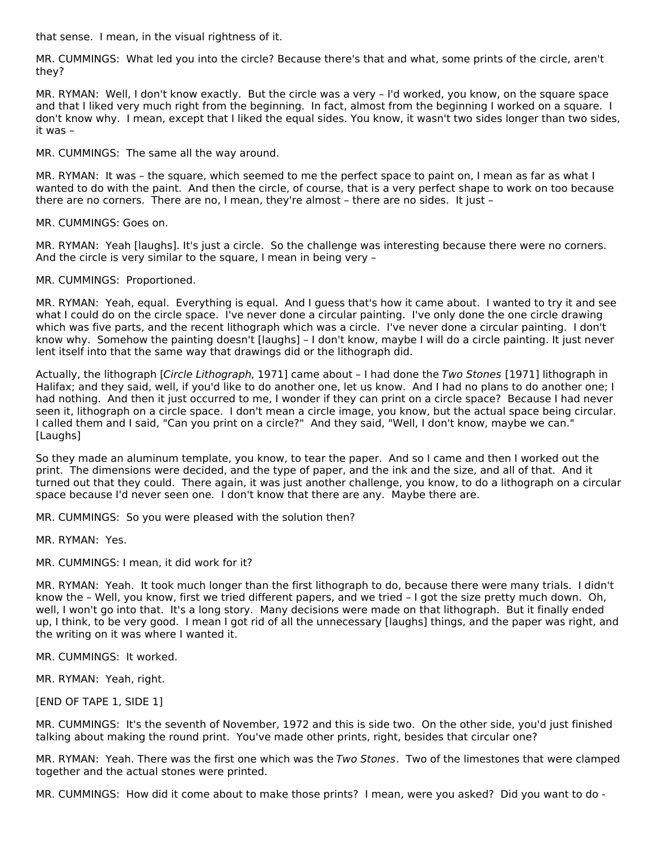that sense. I mean, in the visual rightness of it.

MR. CUMMINGS: What led you into the circle? Because there's that and what, some prints of the circle, aren't they?

MR. RYMAN: Well, I don't know exactly. But the circle was a very – I'd worked, you know, on the square space and that I liked very much right from the beginning. In fact, almost from the beginning I worked on a square. I don't know why. I mean, except that I liked the equal sides. You know, it wasn't two sides longer than two sides, it was –

MR. CUMMINGS: The same all the way around.

MR. RYMAN: It was – the square, which seemed to me the perfect space to paint on, I mean as far as what I wanted to do with the paint. And then the circle, of course, that is a very perfect shape to work on too because there are no corners. There are no, I mean, they're almost – there are no sides. It just –

MR. CUMMINGS: Goes on.

MR. RYMAN: Yeah [laughs]. It's just a circle. So the challenge was interesting because there were no corners. And the circle is very similar to the square, I mean in being very –

MR. CUMMINGS: Proportioned.

MR. RYMAN: Yeah, equal. Everything is equal. And I guess that's how it came about. I wanted to try it and see what I could do on the circle space. I've never done a circular painting. I've only done the one circle drawing which was five parts, and the recent lithograph which was a circle. I've never done a circular painting. I don't know why. Somehow the painting doesn't [laughs] – I don't know, maybe I will do a circle painting. It just never lent itself into that the same way that drawings did or the lithograph did.

Actually, the lithograph [Circle Lithograph, 1971] came about – I had done the Two Stones [1971] lithograph in Halifax; and they said, well, if you'd like to do another one, let us know. And I had no plans to do another one; I had nothing. And then it just occurred to me, I wonder if they can print on a circle space? Because I had never seen it, lithograph on a circle space. I don't mean a circle image, you know, but the actual space being circular. I called them and I said, "Can you print on a circle?" And they said, "Well, I don't know, maybe we can." [Laughs]

So they made an aluminum template, you know, to tear the paper. And so I came and then I worked out the print. The dimensions were decided, and the type of paper, and the ink and the size, and all of that. And it turned out that they could. There again, it was just another challenge, you know, to do a lithograph on a circular space because I'd never seen one. I don't know that there are any. Maybe there are.

MR. CUMMINGS: So you were pleased with the solution then?

MR. RYMAN: Yes.

MR. CUMMINGS: I mean, it did work for it?

MR. RYMAN: Yeah. It took much longer than the first lithograph to do, because there were many trials. I didn't know the – Well, you know, first we tried different papers, and we tried – I got the size pretty much down. Oh, well, I won't go into that. It's a long story. Many decisions were made on that lithograph. But it finally ended up, I think, to be very good. I mean I got rid of all the unnecessary [laughs] things, and the paper was right, and the writing on it was where I wanted it.

MR. CUMMINGS: It worked.

MR. RYMAN: Yeah, right.

[END OF TAPE 1, SIDE 1]

MR. CUMMINGS: It's the seventh of November, 1972 and this is side two. On the other side, you'd just finished talking about making the round print. You've made other prints, right, besides that circular one?

MR. RYMAN: Yeah. There was the first one which was the Two Stones. Two of the limestones that were clamped together and the actual stones were printed.

MR. CUMMINGS: How did it come about to make those prints? I mean, were you asked? Did you want to do -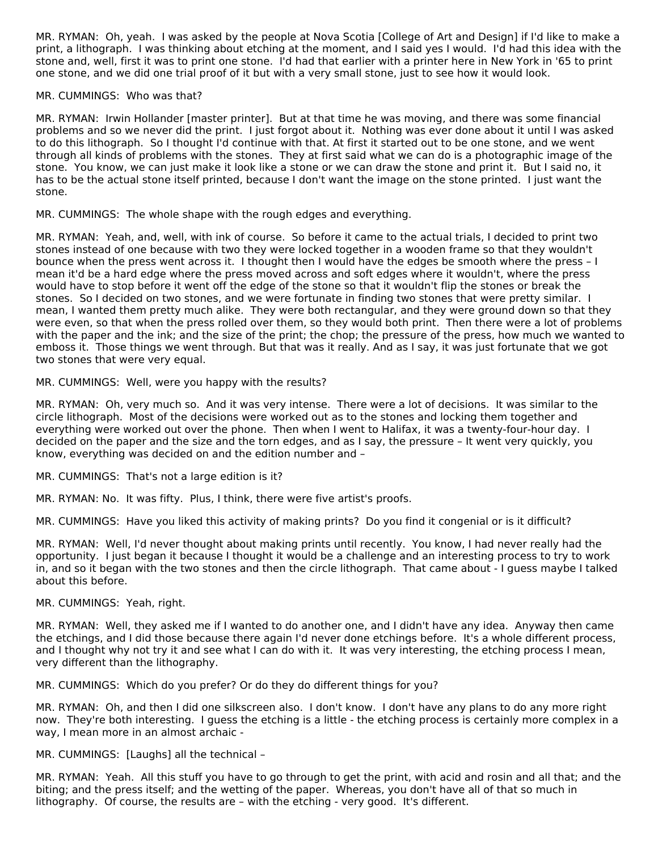MR. RYMAN: Oh, yeah. I was asked by the people at Nova Scotia [College of Art and Design] if I'd like to make a print, a lithograph. I was thinking about etching at the moment, and I said yes I would. I'd had this idea with the stone and, well, first it was to print one stone. I'd had that earlier with a printer here in New York in '65 to print one stone, and we did one trial proof of it but with a very small stone, just to see how it would look.

#### MR. CUMMINGS: Who was that?

MR. RYMAN: Irwin Hollander [master printer]. But at that time he was moving, and there was some financial problems and so we never did the print. I just forgot about it. Nothing was ever done about it until I was asked to do this lithograph. So I thought I'd continue with that. At first it started out to be one stone, and we went through all kinds of problems with the stones. They at first said what we can do is a photographic image of the stone. You know, we can just make it look like a stone or we can draw the stone and print it. But I said no, it has to be the actual stone itself printed, because I don't want the image on the stone printed. I just want the stone.

MR. CUMMINGS: The whole shape with the rough edges and everything.

MR. RYMAN: Yeah, and, well, with ink of course. So before it came to the actual trials, I decided to print two stones instead of one because with two they were locked together in a wooden frame so that they wouldn't bounce when the press went across it. I thought then I would have the edges be smooth where the press – I mean it'd be a hard edge where the press moved across and soft edges where it wouldn't, where the press would have to stop before it went off the edge of the stone so that it wouldn't flip the stones or break the stones. So I decided on two stones, and we were fortunate in finding two stones that were pretty similar. I mean, I wanted them pretty much alike. They were both rectangular, and they were ground down so that they were even, so that when the press rolled over them, so they would both print. Then there were a lot of problems with the paper and the ink; and the size of the print; the chop; the pressure of the press, how much we wanted to emboss it. Those things we went through. But that was it really. And as I say, it was just fortunate that we got two stones that were very equal.

MR. CUMMINGS: Well, were you happy with the results?

MR. RYMAN: Oh, very much so. And it was very intense. There were a lot of decisions. It was similar to the circle lithograph. Most of the decisions were worked out as to the stones and locking them together and everything were worked out over the phone. Then when I went to Halifax, it was a twenty-four-hour day. I decided on the paper and the size and the torn edges, and as I say, the pressure – It went very quickly, you know, everything was decided on and the edition number and –

MR. CUMMINGS: That's not a large edition is it?

MR. RYMAN: No. It was fifty. Plus, I think, there were five artist's proofs.

MR. CUMMINGS: Have you liked this activity of making prints? Do you find it congenial or is it difficult?

MR. RYMAN: Well, I'd never thought about making prints until recently. You know, I had never really had the opportunity. I just began it because I thought it would be a challenge and an interesting process to try to work in, and so it began with the two stones and then the circle lithograph. That came about - I guess maybe I talked about this before.

#### MR. CUMMINGS: Yeah, right.

MR. RYMAN: Well, they asked me if I wanted to do another one, and I didn't have any idea. Anyway then came the etchings, and I did those because there again I'd never done etchings before. It's a whole different process, and I thought why not try it and see what I can do with it. It was very interesting, the etching process I mean, very different than the lithography.

MR. CUMMINGS: Which do you prefer? Or do they do different things for you?

MR. RYMAN: Oh, and then I did one silkscreen also. I don't know. I don't have any plans to do any more right now. They're both interesting. I guess the etching is a little - the etching process is certainly more complex in a way, I mean more in an almost archaic -

MR. CUMMINGS: [Laughs] all the technical –

MR. RYMAN: Yeah. All this stuff you have to go through to get the print, with acid and rosin and all that; and the biting; and the press itself; and the wetting of the paper. Whereas, you don't have all of that so much in lithography. Of course, the results are – with the etching - very good. It's different.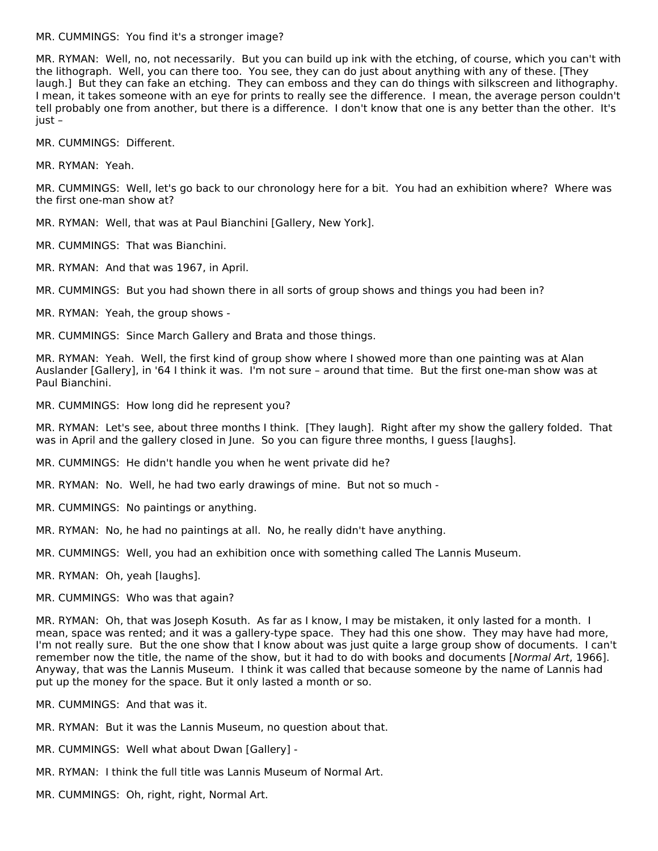#### MR. CUMMINGS: You find it's a stronger image?

MR. RYMAN: Well, no, not necessarily. But you can build up ink with the etching, of course, which you can't with the lithograph. Well, you can there too. You see, they can do just about anything with any of these. [They laugh.] But they can fake an etching. They can emboss and they can do things with silkscreen and lithography. I mean, it takes someone with an eye for prints to really see the difference. I mean, the average person couldn't tell probably one from another, but there is a difference. I don't know that one is any better than the other. It's just –

MR. CUMMINGS: Different.

MR. RYMAN: Yeah.

MR. CUMMINGS: Well, let's go back to our chronology here for a bit. You had an exhibition where? Where was the first one-man show at?

MR. RYMAN: Well, that was at Paul Bianchini [Gallery, New York].

MR. CUMMINGS: That was Bianchini.

MR. RYMAN: And that was 1967, in April.

MR. CUMMINGS: But you had shown there in all sorts of group shows and things you had been in?

MR. RYMAN: Yeah, the group shows -

MR. CUMMINGS: Since March Gallery and Brata and those things.

MR. RYMAN: Yeah. Well, the first kind of group show where I showed more than one painting was at Alan Auslander [Gallery], in '64 I think it was. I'm not sure – around that time. But the first one-man show was at Paul Bianchini.

MR. CUMMINGS: How long did he represent you?

MR. RYMAN: Let's see, about three months I think. [They laugh]. Right after my show the gallery folded. That was in April and the gallery closed in June. So you can figure three months, I guess [laughs].

MR. CUMMINGS: He didn't handle you when he went private did he?

MR. RYMAN: No. Well, he had two early drawings of mine. But not so much -

MR. CUMMINGS: No paintings or anything.

MR. RYMAN: No, he had no paintings at all. No, he really didn't have anything.

MR. CUMMINGS: Well, you had an exhibition once with something called The Lannis Museum.

MR. RYMAN: Oh, yeah [laughs].

MR. CUMMINGS: Who was that again?

MR. RYMAN: Oh, that was Joseph Kosuth. As far as I know, I may be mistaken, it only lasted for a month. I mean, space was rented; and it was a gallery-type space. They had this one show. They may have had more, I'm not really sure. But the one show that I know about was just quite a large group show of documents. I can't remember now the title, the name of the show, but it had to do with books and documents [Normal Art, 1966]. Anyway, that was the Lannis Museum. I think it was called that because someone by the name of Lannis had put up the money for the space. But it only lasted a month or so.

MR. CUMMINGS: And that was it.

MR. RYMAN: But it was the Lannis Museum, no question about that.

- MR. CUMMINGS: Well what about Dwan [Gallery] -
- MR. RYMAN: I think the full title was Lannis Museum of Normal Art.
- MR. CUMMINGS: Oh, right, right, Normal Art.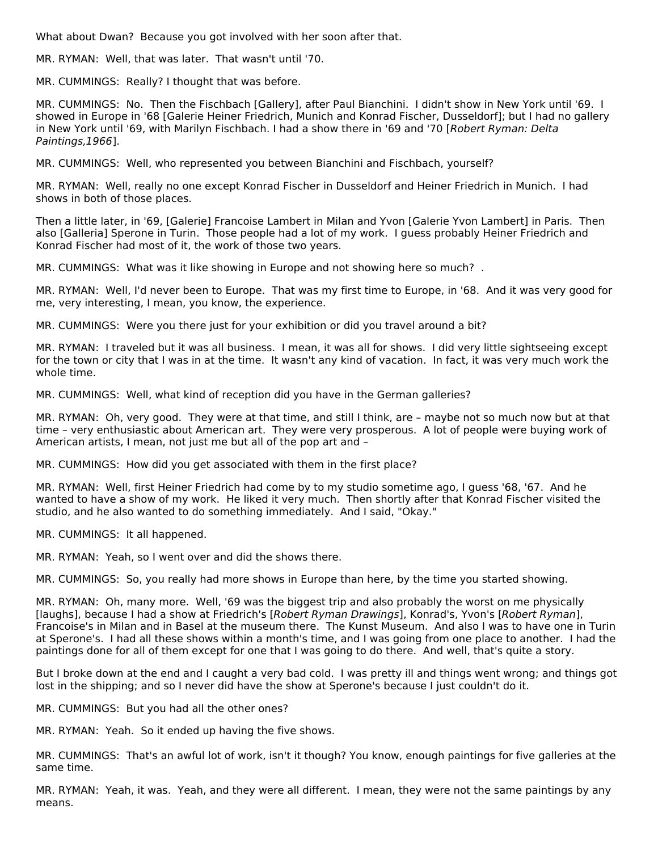What about Dwan? Because you got involved with her soon after that.

MR. RYMAN: Well, that was later. That wasn't until '70.

MR. CUMMINGS: Really? I thought that was before.

MR. CUMMINGS: No. Then the Fischbach [Gallery], after Paul Bianchini. I didn't show in New York until '69. I showed in Europe in '68 [Galerie Heiner Friedrich, Munich and Konrad Fischer, Dusseldorf]; but I had no gallery in New York until '69, with Marilyn Fischbach. I had a show there in '69 and '70 [Robert Ryman: Delta Paintings,1966].

MR. CUMMINGS: Well, who represented you between Bianchini and Fischbach, yourself?

MR. RYMAN: Well, really no one except Konrad Fischer in Dusseldorf and Heiner Friedrich in Munich. I had shows in both of those places.

Then a little later, in '69, [Galerie] Francoise Lambert in Milan and Yvon [Galerie Yvon Lambert] in Paris. Then also [Galleria] Sperone in Turin. Those people had a lot of my work. I guess probably Heiner Friedrich and Konrad Fischer had most of it, the work of those two years.

MR. CUMMINGS: What was it like showing in Europe and not showing here so much? .

MR. RYMAN: Well, I'd never been to Europe. That was my first time to Europe, in '68. And it was very good for me, very interesting, I mean, you know, the experience.

MR. CUMMINGS: Were you there just for your exhibition or did you travel around a bit?

MR. RYMAN: I traveled but it was all business. I mean, it was all for shows. I did very little sightseeing except for the town or city that I was in at the time. It wasn't any kind of vacation. In fact, it was very much work the whole time.

MR. CUMMINGS: Well, what kind of reception did you have in the German galleries?

MR. RYMAN: Oh, very good. They were at that time, and still I think, are – maybe not so much now but at that time – very enthusiastic about American art. They were very prosperous. A lot of people were buying work of American artists, I mean, not just me but all of the pop art and –

MR. CUMMINGS: How did you get associated with them in the first place?

MR. RYMAN: Well, first Heiner Friedrich had come by to my studio sometime ago, I guess '68, '67. And he wanted to have a show of my work. He liked it very much. Then shortly after that Konrad Fischer visited the studio, and he also wanted to do something immediately. And I said, "Okay."

MR. CUMMINGS: It all happened.

MR. RYMAN: Yeah, so I went over and did the shows there.

MR. CUMMINGS: So, you really had more shows in Europe than here, by the time you started showing.

MR. RYMAN: Oh, many more. Well, '69 was the biggest trip and also probably the worst on me physically [laughs], because I had a show at Friedrich's [Robert Ryman Drawings], Konrad's, Yvon's [Robert Ryman], Francoise's in Milan and in Basel at the museum there. The Kunst Museum. And also I was to have one in Turin at Sperone's. I had all these shows within a month's time, and I was going from one place to another. I had the paintings done for all of them except for one that I was going to do there. And well, that's quite a story.

But I broke down at the end and I caught a very bad cold. I was pretty ill and things went wrong; and things got lost in the shipping; and so I never did have the show at Sperone's because I just couldn't do it.

MR. CUMMINGS: But you had all the other ones?

MR. RYMAN: Yeah. So it ended up having the five shows.

MR. CUMMINGS: That's an awful lot of work, isn't it though? You know, enough paintings for five galleries at the same time.

MR. RYMAN: Yeah, it was. Yeah, and they were all different. I mean, they were not the same paintings by any means.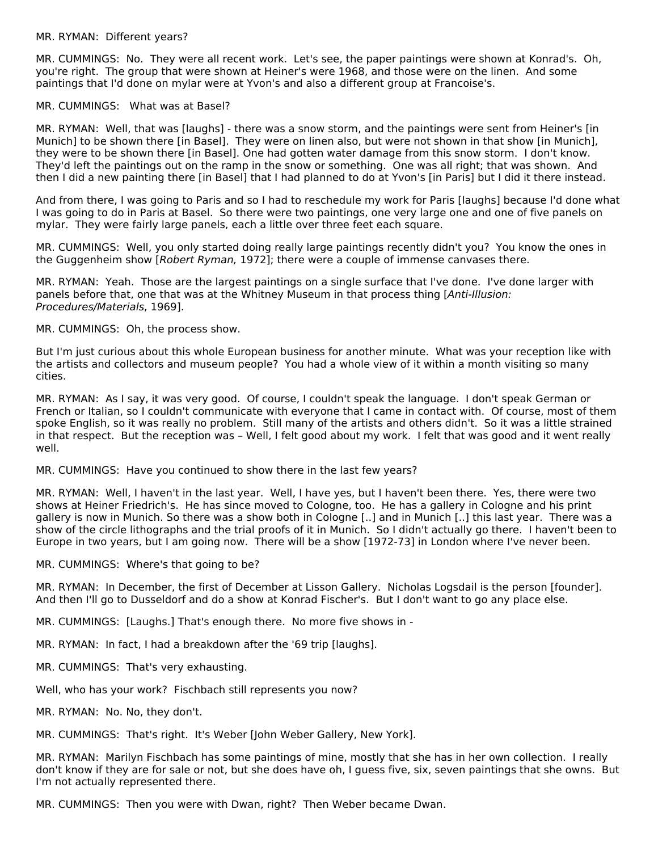#### MR. RYMAN: Different years?

MR. CUMMINGS: No. They were all recent work. Let's see, the paper paintings were shown at Konrad's. Oh, you're right. The group that were shown at Heiner's were 1968, and those were on the linen. And some paintings that I'd done on mylar were at Yvon's and also a different group at Francoise's.

#### MR. CUMMINGS: What was at Basel?

MR. RYMAN: Well, that was [laughs] - there was a snow storm, and the paintings were sent from Heiner's [in Munich] to be shown there [in Basel]. They were on linen also, but were not shown in that show [in Munich], they were to be shown there [in Basel]. One had gotten water damage from this snow storm. I don't know. They'd left the paintings out on the ramp in the snow or something. One was all right; that was shown. And then I did a new painting there [in Basel] that I had planned to do at Yvon's [in Paris] but I did it there instead.

And from there, I was going to Paris and so I had to reschedule my work for Paris [laughs] because I'd done what I was going to do in Paris at Basel. So there were two paintings, one very large one and one of five panels on mylar. They were fairly large panels, each a little over three feet each square.

MR. CUMMINGS: Well, you only started doing really large paintings recently didn't you? You know the ones in the Guggenheim show [Robert Ryman, 1972]; there were a couple of immense canvases there.

MR. RYMAN: Yeah. Those are the largest paintings on a single surface that I've done. I've done larger with panels before that, one that was at the Whitney Museum in that process thing [Anti-Illusion: Procedures/Materials, 1969].

MR. CUMMINGS: Oh, the process show.

But I'm just curious about this whole European business for another minute. What was your reception like with the artists and collectors and museum people? You had a whole view of it within a month visiting so many cities.

MR. RYMAN: As I say, it was very good. Of course, I couldn't speak the language. I don't speak German or French or Italian, so I couldn't communicate with everyone that I came in contact with. Of course, most of them spoke English, so it was really no problem. Still many of the artists and others didn't. So it was a little strained in that respect. But the reception was – Well, I felt good about my work. I felt that was good and it went really well.

MR. CUMMINGS: Have you continued to show there in the last few years?

MR. RYMAN: Well, I haven't in the last year. Well, I have yes, but I haven't been there. Yes, there were two shows at Heiner Friedrich's. He has since moved to Cologne, too. He has a gallery in Cologne and his print gallery is now in Munich. So there was a show both in Cologne [..] and in Munich [..] this last year. There was a show of the circle lithographs and the trial proofs of it in Munich. So I didn't actually go there. I haven't been to Europe in two years, but I am going now. There will be a show [1972-73] in London where I've never been.

MR. CUMMINGS: Where's that going to be?

MR. RYMAN: In December, the first of December at Lisson Gallery. Nicholas Logsdail is the person [founder]. And then I'll go to Dusseldorf and do a show at Konrad Fischer's. But I don't want to go any place else.

MR. CUMMINGS: [Laughs.] That's enough there. No more five shows in -

MR. RYMAN: In fact, I had a breakdown after the '69 trip [laughs].

MR. CUMMINGS: That's very exhausting.

Well, who has your work? Fischbach still represents you now?

MR. RYMAN: No. No, they don't.

MR. CUMMINGS: That's right. It's Weber [John Weber Gallery, New York].

MR. RYMAN: Marilyn Fischbach has some paintings of mine, mostly that she has in her own collection. I really don't know if they are for sale or not, but she does have oh, I guess five, six, seven paintings that she owns. But I'm not actually represented there.

MR. CUMMINGS: Then you were with Dwan, right? Then Weber became Dwan.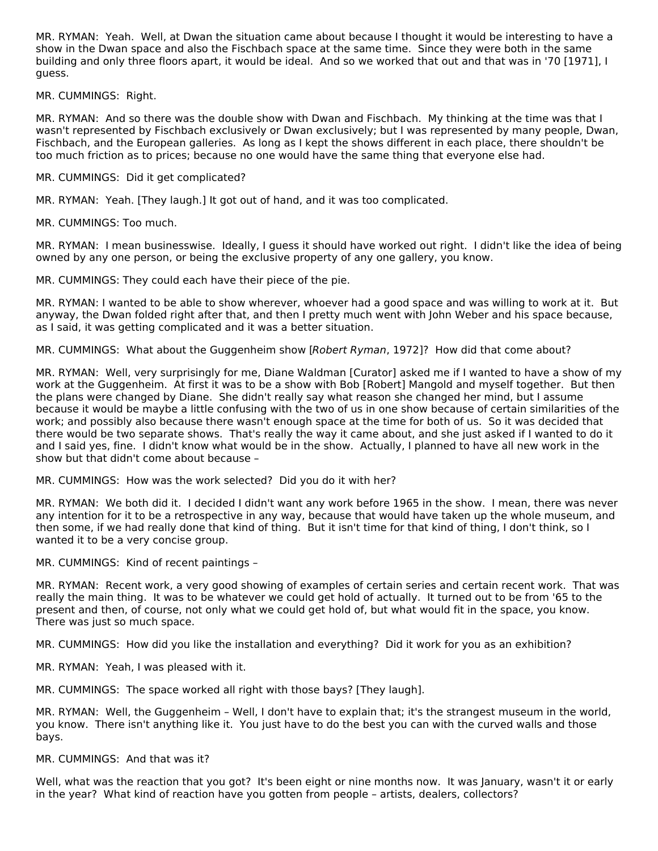MR. RYMAN: Yeah. Well, at Dwan the situation came about because I thought it would be interesting to have a show in the Dwan space and also the Fischbach space at the same time. Since they were both in the same building and only three floors apart, it would be ideal. And so we worked that out and that was in '70 [1971], I guess.

MR. CUMMINGS: Right.

MR. RYMAN: And so there was the double show with Dwan and Fischbach. My thinking at the time was that I wasn't represented by Fischbach exclusively or Dwan exclusively; but I was represented by many people, Dwan, Fischbach, and the European galleries. As long as I kept the shows different in each place, there shouldn't be too much friction as to prices; because no one would have the same thing that everyone else had.

MR. CUMMINGS: Did it get complicated?

MR. RYMAN: Yeah. [They laugh.] It got out of hand, and it was too complicated.

MR. CUMMINGS: Too much.

MR. RYMAN: I mean businesswise. Ideally, I guess it should have worked out right. I didn't like the idea of being owned by any one person, or being the exclusive property of any one gallery, you know.

MR. CUMMINGS: They could each have their piece of the pie.

MR. RYMAN: I wanted to be able to show wherever, whoever had a good space and was willing to work at it. But anyway, the Dwan folded right after that, and then I pretty much went with John Weber and his space because, as I said, it was getting complicated and it was a better situation.

MR. CUMMINGS: What about the Guggenheim show [Robert Ryman, 1972]? How did that come about?

MR. RYMAN: Well, very surprisingly for me, Diane Waldman [Curator] asked me if I wanted to have a show of my work at the Guggenheim. At first it was to be a show with Bob [Robert] Mangold and myself together. But then the plans were changed by Diane. She didn't really say what reason she changed her mind, but I assume because it would be maybe a little confusing with the two of us in one show because of certain similarities of the work; and possibly also because there wasn't enough space at the time for both of us. So it was decided that there would be two separate shows. That's really the way it came about, and she just asked if I wanted to do it and I said yes, fine. I didn't know what would be in the show. Actually, I planned to have all new work in the show but that didn't come about because –

MR. CUMMINGS: How was the work selected? Did you do it with her?

MR. RYMAN: We both did it. I decided I didn't want any work before 1965 in the show. I mean, there was never any intention for it to be a retrospective in any way, because that would have taken up the whole museum, and then some, if we had really done that kind of thing. But it isn't time for that kind of thing, I don't think, so I wanted it to be a very concise group.

MR. CUMMINGS: Kind of recent paintings –

MR. RYMAN: Recent work, a very good showing of examples of certain series and certain recent work. That was really the main thing. It was to be whatever we could get hold of actually. It turned out to be from '65 to the present and then, of course, not only what we could get hold of, but what would fit in the space, you know. There was just so much space.

MR. CUMMINGS: How did you like the installation and everything? Did it work for you as an exhibition?

MR. RYMAN: Yeah, I was pleased with it.

MR. CUMMINGS: The space worked all right with those bays? [They laugh].

MR. RYMAN: Well, the Guggenheim – Well, I don't have to explain that; it's the strangest museum in the world, you know. There isn't anything like it. You just have to do the best you can with the curved walls and those bays.

MR. CUMMINGS: And that was it?

Well, what was the reaction that you got? It's been eight or nine months now. It was January, wasn't it or early in the year? What kind of reaction have you gotten from people – artists, dealers, collectors?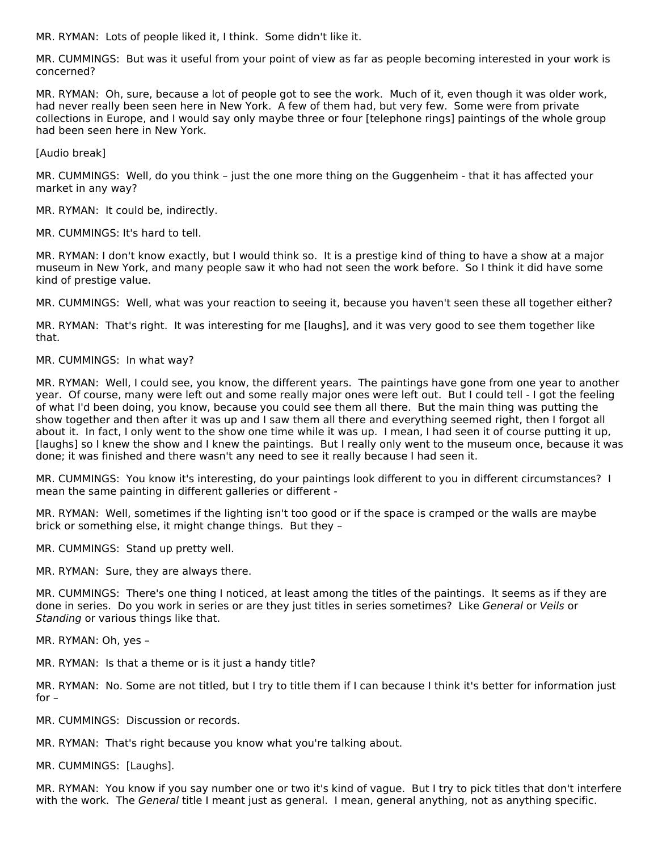MR. RYMAN: Lots of people liked it, I think. Some didn't like it.

MR. CUMMINGS: But was it useful from your point of view as far as people becoming interested in your work is concerned?

MR. RYMAN: Oh, sure, because a lot of people got to see the work. Much of it, even though it was older work, had never really been seen here in New York. A few of them had, but very few. Some were from private collections in Europe, and I would say only maybe three or four [telephone rings] paintings of the whole group had been seen here in New York.

[Audio break]

MR. CUMMINGS: Well, do you think – just the one more thing on the Guggenheim - that it has affected your market in any way?

MR. RYMAN: It could be, indirectly.

MR. CUMMINGS: It's hard to tell.

MR. RYMAN: I don't know exactly, but I would think so. It is a prestige kind of thing to have a show at a major museum in New York, and many people saw it who had not seen the work before. So I think it did have some kind of prestige value.

MR. CUMMINGS: Well, what was your reaction to seeing it, because you haven't seen these all together either?

MR. RYMAN: That's right. It was interesting for me [laughs], and it was very good to see them together like that.

#### MR. CUMMINGS: In what way?

MR. RYMAN: Well, I could see, you know, the different years. The paintings have gone from one year to another year. Of course, many were left out and some really major ones were left out. But I could tell - I got the feeling of what I'd been doing, you know, because you could see them all there. But the main thing was putting the show together and then after it was up and I saw them all there and everything seemed right, then I forgot all about it. In fact, I only went to the show one time while it was up. I mean, I had seen it of course putting it up, [laughs] so I knew the show and I knew the paintings. But I really only went to the museum once, because it was done; it was finished and there wasn't any need to see it really because I had seen it.

MR. CUMMINGS: You know it's interesting, do your paintings look different to you in different circumstances? I mean the same painting in different galleries or different -

MR. RYMAN: Well, sometimes if the lighting isn't too good or if the space is cramped or the walls are maybe brick or something else, it might change things. But they –

MR. CUMMINGS: Stand up pretty well.

MR. RYMAN: Sure, they are always there.

MR. CUMMINGS: There's one thing I noticed, at least among the titles of the paintings. It seems as if they are done in series. Do you work in series or are they just titles in series sometimes? Like General or Veils or Standing or various things like that.

MR. RYMAN: Oh, yes –

MR. RYMAN: Is that a theme or is it just a handy title?

MR. RYMAN: No. Some are not titled, but I try to title them if I can because I think it's better for information just for –

MR. CUMMINGS: Discussion or records.

MR. RYMAN: That's right because you know what you're talking about.

MR. CUMMINGS: [Laughs].

MR. RYMAN: You know if you say number one or two it's kind of vague. But I try to pick titles that don't interfere with the work. The General title I meant just as general. I mean, general anything, not as anything specific.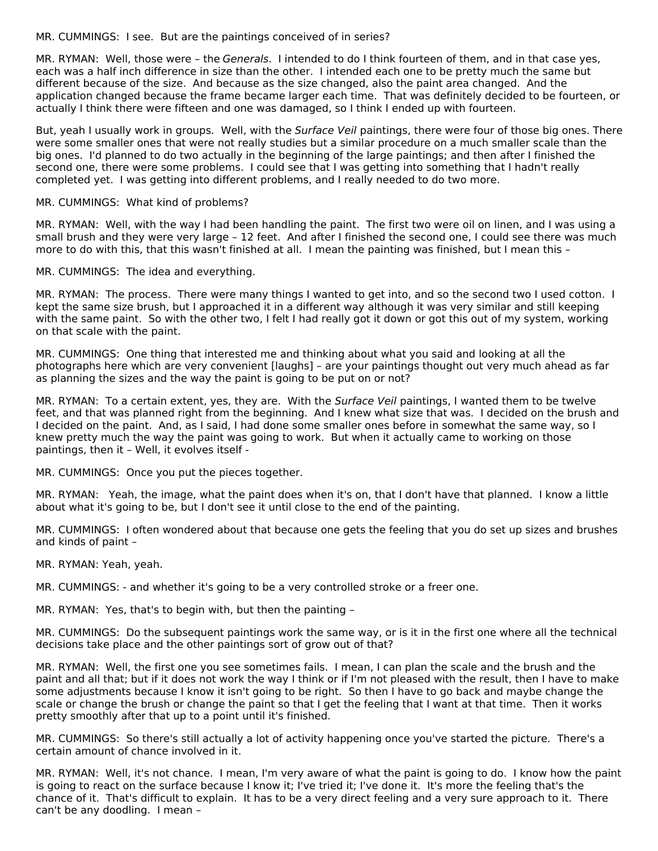MR. CUMMINGS: I see. But are the paintings conceived of in series?

MR. RYMAN: Well, those were - the Generals. I intended to do I think fourteen of them, and in that case yes, each was a half inch difference in size than the other. I intended each one to be pretty much the same but different because of the size. And because as the size changed, also the paint area changed. And the application changed because the frame became larger each time. That was definitely decided to be fourteen, or actually I think there were fifteen and one was damaged, so I think I ended up with fourteen.

But, yeah I usually work in groups. Well, with the Surface Veil paintings, there were four of those big ones. There were some smaller ones that were not really studies but a similar procedure on a much smaller scale than the big ones. I'd planned to do two actually in the beginning of the large paintings; and then after I finished the second one, there were some problems. I could see that I was getting into something that I hadn't really completed yet. I was getting into different problems, and I really needed to do two more.

MR. CUMMINGS: What kind of problems?

MR. RYMAN: Well, with the way I had been handling the paint. The first two were oil on linen, and I was using a small brush and they were very large – 12 feet. And after I finished the second one, I could see there was much more to do with this, that this wasn't finished at all. I mean the painting was finished, but I mean this –

MR. CUMMINGS: The idea and everything.

MR. RYMAN: The process. There were many things I wanted to get into, and so the second two I used cotton. I kept the same size brush, but I approached it in a different way although it was very similar and still keeping with the same paint. So with the other two, I felt I had really got it down or got this out of my system, working on that scale with the paint.

MR. CUMMINGS: One thing that interested me and thinking about what you said and looking at all the photographs here which are very convenient [laughs] – are your paintings thought out very much ahead as far as planning the sizes and the way the paint is going to be put on or not?

MR. RYMAN: To a certain extent, yes, they are. With the Surface Veil paintings, I wanted them to be twelve feet, and that was planned right from the beginning. And I knew what size that was. I decided on the brush and I decided on the paint. And, as I said, I had done some smaller ones before in somewhat the same way, so I knew pretty much the way the paint was going to work. But when it actually came to working on those paintings, then it – Well, it evolves itself -

MR. CUMMINGS: Once you put the pieces together.

MR. RYMAN: Yeah, the image, what the paint does when it's on, that I don't have that planned. I know a little about what it's going to be, but I don't see it until close to the end of the painting.

MR. CUMMINGS: I often wondered about that because one gets the feeling that you do set up sizes and brushes and kinds of paint –

MR. RYMAN: Yeah, yeah.

MR. CUMMINGS: - and whether it's going to be a very controlled stroke or a freer one.

MR. RYMAN: Yes, that's to begin with, but then the painting –

MR. CUMMINGS: Do the subsequent paintings work the same way, or is it in the first one where all the technical decisions take place and the other paintings sort of grow out of that?

MR. RYMAN: Well, the first one you see sometimes fails. I mean, I can plan the scale and the brush and the paint and all that; but if it does not work the way I think or if I'm not pleased with the result, then I have to make some adjustments because I know it isn't going to be right. So then I have to go back and maybe change the scale or change the brush or change the paint so that I get the feeling that I want at that time. Then it works pretty smoothly after that up to a point until it's finished.

MR. CUMMINGS: So there's still actually a lot of activity happening once you've started the picture. There's a certain amount of chance involved in it.

MR. RYMAN: Well, it's not chance. I mean, I'm very aware of what the paint is going to do. I know how the paint is going to react on the surface because I know it; I've tried it; I've done it. It's more the feeling that's the chance of it. That's difficult to explain. It has to be a very direct feeling and a very sure approach to it. There can't be any doodling. I mean –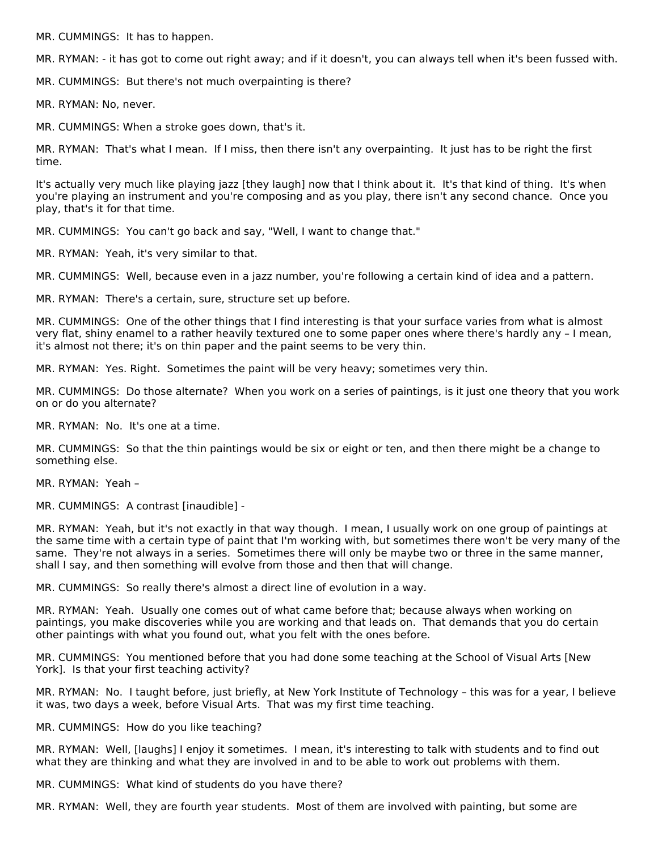MR. CUMMINGS: It has to happen.

MR. RYMAN: - it has got to come out right away; and if it doesn't, you can always tell when it's been fussed with.

MR. CUMMINGS: But there's not much overpainting is there?

MR. RYMAN: No, never.

MR. CUMMINGS: When a stroke goes down, that's it.

MR. RYMAN: That's what I mean. If I miss, then there isn't any overpainting. It just has to be right the first time.

It's actually very much like playing jazz [they laugh] now that I think about it. It's that kind of thing. It's when you're playing an instrument and you're composing and as you play, there isn't any second chance. Once you play, that's it for that time.

MR. CUMMINGS: You can't go back and say, "Well, I want to change that."

MR. RYMAN: Yeah, it's very similar to that.

MR. CUMMINGS: Well, because even in a jazz number, you're following a certain kind of idea and a pattern.

MR. RYMAN: There's a certain, sure, structure set up before.

MR. CUMMINGS: One of the other things that I find interesting is that your surface varies from what is almost very flat, shiny enamel to a rather heavily textured one to some paper ones where there's hardly any – I mean, it's almost not there; it's on thin paper and the paint seems to be very thin.

MR. RYMAN: Yes. Right. Sometimes the paint will be very heavy; sometimes very thin.

MR. CUMMINGS: Do those alternate? When you work on a series of paintings, is it just one theory that you work on or do you alternate?

MR. RYMAN: No. It's one at a time.

MR. CUMMINGS: So that the thin paintings would be six or eight or ten, and then there might be a change to something else.

MR. RYMAN: Yeah –

MR. CUMMINGS: A contrast [inaudible] -

MR. RYMAN: Yeah, but it's not exactly in that way though. I mean, I usually work on one group of paintings at the same time with a certain type of paint that I'm working with, but sometimes there won't be very many of the same. They're not always in a series. Sometimes there will only be maybe two or three in the same manner, shall I say, and then something will evolve from those and then that will change.

MR. CUMMINGS: So really there's almost a direct line of evolution in a way.

MR. RYMAN: Yeah. Usually one comes out of what came before that; because always when working on paintings, you make discoveries while you are working and that leads on. That demands that you do certain other paintings with what you found out, what you felt with the ones before.

MR. CUMMINGS: You mentioned before that you had done some teaching at the School of Visual Arts [New York]. Is that your first teaching activity?

MR. RYMAN: No. I taught before, just briefly, at New York Institute of Technology – this was for a year, I believe it was, two days a week, before Visual Arts. That was my first time teaching.

MR. CUMMINGS: How do you like teaching?

MR. RYMAN: Well, [laughs] I enjoy it sometimes. I mean, it's interesting to talk with students and to find out what they are thinking and what they are involved in and to be able to work out problems with them.

MR. CUMMINGS: What kind of students do you have there?

MR. RYMAN: Well, they are fourth year students. Most of them are involved with painting, but some are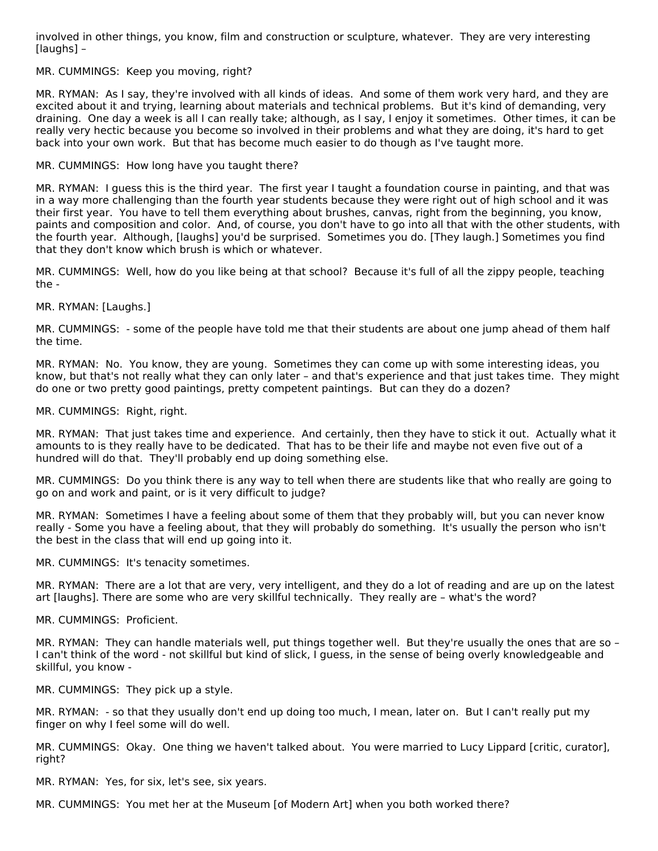involved in other things, you know, film and construction or sculpture, whatever. They are very interesting [laughs] –

#### MR. CUMMINGS: Keep you moving, right?

MR. RYMAN: As I say, they're involved with all kinds of ideas. And some of them work very hard, and they are excited about it and trying, learning about materials and technical problems. But it's kind of demanding, very draining. One day a week is all I can really take; although, as I say, I enjoy it sometimes. Other times, it can be really very hectic because you become so involved in their problems and what they are doing, it's hard to get back into your own work. But that has become much easier to do though as I've taught more.

MR. CUMMINGS: How long have you taught there?

MR. RYMAN: I guess this is the third year. The first year I taught a foundation course in painting, and that was in a way more challenging than the fourth year students because they were right out of high school and it was their first year. You have to tell them everything about brushes, canvas, right from the beginning, you know, paints and composition and color. And, of course, you don't have to go into all that with the other students, with the fourth year. Although, [laughs] you'd be surprised. Sometimes you do. [They laugh.] Sometimes you find that they don't know which brush is which or whatever.

MR. CUMMINGS: Well, how do you like being at that school? Because it's full of all the zippy people, teaching the -

MR. RYMAN: [Laughs.]

MR. CUMMINGS: - some of the people have told me that their students are about one jump ahead of them half the time.

MR. RYMAN: No. You know, they are young. Sometimes they can come up with some interesting ideas, you know, but that's not really what they can only later – and that's experience and that just takes time. They might do one or two pretty good paintings, pretty competent paintings. But can they do a dozen?

MR. CUMMINGS: Right, right.

MR. RYMAN: That just takes time and experience. And certainly, then they have to stick it out. Actually what it amounts to is they really have to be dedicated. That has to be their life and maybe not even five out of a hundred will do that. They'll probably end up doing something else.

MR. CUMMINGS: Do you think there is any way to tell when there are students like that who really are going to go on and work and paint, or is it very difficult to judge?

MR. RYMAN: Sometimes I have a feeling about some of them that they probably will, but you can never know really - Some you have a feeling about, that they will probably do something. It's usually the person who isn't the best in the class that will end up going into it.

MR. CUMMINGS: It's tenacity sometimes.

MR. RYMAN: There are a lot that are very, very intelligent, and they do a lot of reading and are up on the latest art [laughs]. There are some who are very skillful technically. They really are – what's the word?

MR. CUMMINGS: Proficient.

MR. RYMAN: They can handle materials well, put things together well. But they're usually the ones that are so – I can't think of the word - not skillful but kind of slick, I guess, in the sense of being overly knowledgeable and skillful, you know -

MR. CUMMINGS: They pick up a style.

MR. RYMAN: - so that they usually don't end up doing too much, I mean, later on. But I can't really put my finger on why I feel some will do well.

MR. CUMMINGS: Okay. One thing we haven't talked about. You were married to Lucy Lippard [critic, curator], right?

MR. RYMAN: Yes, for six, let's see, six years.

MR. CUMMINGS: You met her at the Museum [of Modern Art] when you both worked there?